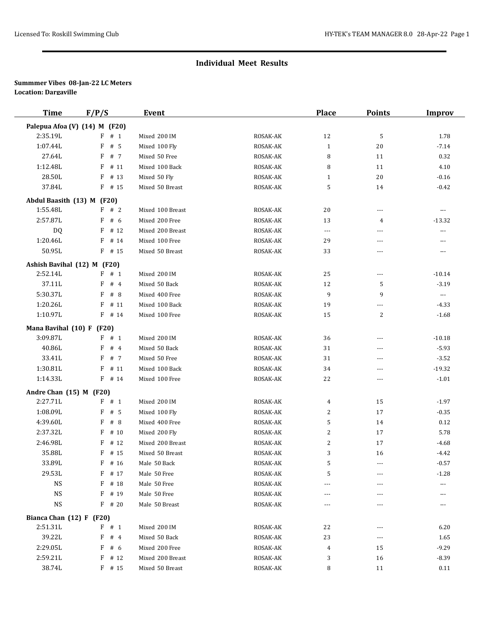| <b>Time</b>                          | F/P/S                         | <b>Event</b>     |          | <b>Place</b>         | <b>Points</b>  | <b>Improv</b>            |
|--------------------------------------|-------------------------------|------------------|----------|----------------------|----------------|--------------------------|
|                                      | Palepua Afoa (V) (14) M (F20) |                  |          |                      |                |                          |
| 2:35.19L                             | $F$ # 1                       | Mixed 200 IM     | ROSAK-AK | 12                   | 5              | 1.78                     |
| 1:07.44L                             | # 5<br>F                      | Mixed 100 Fly    | ROSAK-AK | $\mathbf{1}$         | 20             | $-7.14$                  |
| 27.64L                               | F<br># 7                      | Mixed 50 Free    | ROSAK-AK | 8                    | 11             | 0.32                     |
| 1:12.48L                             | F<br># 11                     | Mixed 100 Back   | ROSAK-AK | 8                    | 11             | 4.10                     |
| 28.50L                               | # 13<br>F                     | Mixed 50 Fly     | ROSAK-AK | $\mathbf{1}$         | 20             | $-0.16$                  |
| 37.84L                               | $F$ # 15                      | Mixed 50 Breast  | ROSAK-AK | 5                    | 14             | $-0.42$                  |
| Abdul Baasith (13) M (F20)           |                               |                  |          |                      |                |                          |
| 1:55.48L                             | F # 2                         | Mixed 100 Breast | ROSAK-AK | 20                   | ---            | $---$                    |
| 2:57.87L                             | F # 6                         | Mixed 200 Free   | ROSAK-AK | 13                   | 4              | $-13.32$                 |
| DQ.                                  | $F$ # 12                      | Mixed 200 Breast | ROSAK-AK | $\scriptstyle\cdots$ | $---$          | $\overline{\phantom{a}}$ |
| 1:20.46L                             | F<br># 14                     | Mixed 100 Free   | ROSAK-AK | 29                   | $---$          | $\overline{a}$           |
| 50.95L                               | $F$ # 15                      | Mixed 50 Breast  | ROSAK-AK | 33                   | ---            | $\cdots$                 |
|                                      | Ashish Bavihal (12) M (F20)   |                  |          |                      |                |                          |
| 2:52.14L                             | $F$ # 1                       | Mixed 200 IM     | ROSAK-AK | 25                   | ---            | $-10.14$                 |
| 37.11L                               | F<br>#4                       | Mixed 50 Back    | ROSAK-AK | 12                   | 5              | $-3.19$                  |
| 5:30.37L                             | F<br>#8                       | Mixed 400 Free   | ROSAK-AK | 9                    | 9              | $\scriptstyle\cdots$     |
| 1:20.26L                             | # 11<br>F                     | Mixed 100 Back   | ROSAK-AK | 19                   | ---            | $-4.33$                  |
| 1:10.97L                             | $F$ # 14                      | Mixed 100 Free   | ROSAK-AK | 15                   | 2              | $-1.68$                  |
| Mana Bavihal (10) F (F20)            |                               |                  |          |                      |                |                          |
| 3:09.87L                             | $F$ # 1                       | Mixed 200 IM     | ROSAK-AK | 36                   | ---            | $-10.18$                 |
| 40.86L                               | #4<br>F                       | Mixed 50 Back    | ROSAK-AK | 31                   | $\overline{a}$ | $-5.93$                  |
| 33.41L                               | F<br># 7                      | Mixed 50 Free    | ROSAK-AK | 31                   | ---            | $-3.52$                  |
| 1:30.81L                             | # 11<br>F                     | Mixed 100 Back   | ROSAK-AK | 34                   | $---$          | $-19.32$                 |
| 1:14.33L                             | $F$ # 14                      | Mixed 100 Free   | ROSAK-AK | 22                   | ---            | $-1.01$                  |
|                                      |                               |                  |          |                      |                |                          |
| Andre Chan (15) M (F20)<br>2:27.71L  | $F$ # 1                       | Mixed 200 IM     | ROSAK-AK | 4                    | 15             | $-1.97$                  |
| 1:08.09L                             | F<br># 5                      | Mixed 100 Fly    | ROSAK-AK | $\overline{c}$       | 17             | $-0.35$                  |
| 4:39.60L                             | F<br>#8                       | Mixed 400 Free   | ROSAK-AK | 5                    | 14             | 0.12                     |
| 2:37.32L                             | F<br># 10                     | Mixed 200 Fly    | ROSAK-AK | 2                    | 17             | 5.78                     |
| 2:46.98L                             | # 12<br>F                     | Mixed 200 Breast | ROSAK-AK | $\overline{c}$       | 17             | $-4.68$                  |
| 35.88L                               | F<br># 15                     | Mixed 50 Breast  | ROSAK-AK | 3                    | 16             | $-4.42$                  |
| 33.89L                               | $F$ # 16                      | Male 50 Back     | ROSAK-AK | 5                    | $\frac{1}{2}$  | $-0.57$                  |
| 29.53L                               | $F$ # 17                      | Male 50 Free     | ROSAK-AK | 5                    |                | $-1.28$                  |
| <b>NS</b>                            | # 18<br>F                     | Male 50 Free     | ROSAK-AK | ---                  |                | ---                      |
| <b>NS</b>                            | F<br># 19                     | Male 50 Free     | ROSAK-AK | ---                  |                | ---                      |
| <b>NS</b>                            | $F$ # 20                      | Male 50 Breast   | ROSAK-AK | ---                  |                | ---                      |
|                                      |                               |                  |          |                      |                |                          |
| Bianca Chan (12) F (F20)<br>2:51.31L | $F$ # 1                       | Mixed 200 IM     | ROSAK-AK |                      |                | 6.20                     |
| 39.22L                               | F<br>#4                       | Mixed 50 Back    | ROSAK-AK | 22<br>23             | ---            | 1.65                     |
| 2:29.05L                             | # 6<br>F                      | Mixed 200 Free   | ROSAK-AK | 4                    | 15             | $-9.29$                  |
| 2:59.21L                             | $F$ # 12                      | Mixed 200 Breast | ROSAK-AK | 3                    | 16             | -8.39                    |
| 38.74L                               | $F$ # 15                      | Mixed 50 Breast  | ROSAK-AK | 8                    | 11             | 0.11                     |
|                                      |                               |                  |          |                      |                |                          |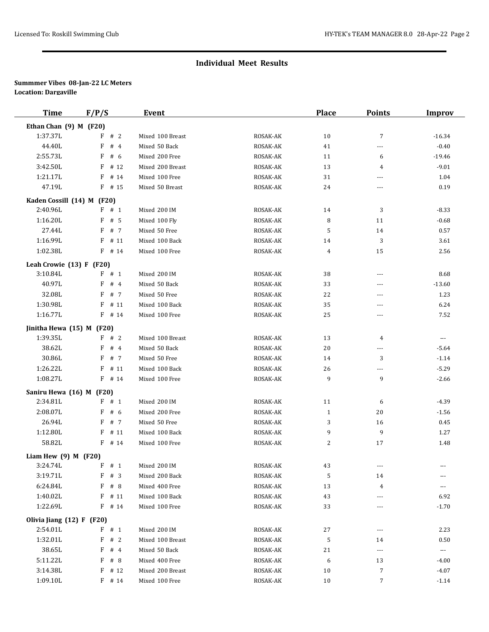| <b>Time</b>                | F/P/S     | <b>Event</b>     |          | <b>Place</b>   | <b>Points</b> | <b>Improv</b> |
|----------------------------|-----------|------------------|----------|----------------|---------------|---------------|
| Ethan Chan (9) M (F20)     |           |                  |          |                |               |               |
| 1:37.37L                   | F # 2     | Mixed 100 Breast | ROSAK-AK | 10             | 7             | $-16.34$      |
| 44.40L                     | F<br>#4   | Mixed 50 Back    | ROSAK-AK | 41             | ---           | $-0.40$       |
| 2:55.73L                   | F<br># 6  | Mixed 200 Free   | ROSAK-AK | 11             | 6             | $-19.46$      |
| 3:42.50L                   | # 12<br>F | Mixed 200 Breast | ROSAK-AK | 13             | 4             | $-9.01$       |
| 1:21.17L                   | $F$ # 14  | Mixed 100 Free   | ROSAK-AK | 31             | ---           | 1.04          |
| 47.19L                     | $F$ # 15  | Mixed 50 Breast  | ROSAK-AK | 24             | ---           | 0.19          |
| Kaden Cossill (14) M (F20) |           |                  |          |                |               |               |
| 2:40.96L                   | F # 1     | Mixed 200 IM     | ROSAK-AK | 14             | 3             | $-8.33$       |
| 1:16.20L                   | $F$ # 5   | Mixed 100 Fly    | ROSAK-AK | 8              | 11            | $-0.68$       |
| 27.44L                     | $F$ # 7   | Mixed 50 Free    | ROSAK-AK | 5              | 14            | 0.57          |
| 1:16.99L                   | # 11<br>F | Mixed 100 Back   | ROSAK-AK | 14             | 3             | 3.61          |
| 1:02.38L                   | $F$ # 14  | Mixed 100 Free   | ROSAK-AK | $\overline{4}$ | 15            | 2.56          |
| Leah Crowie $(13) F (F20)$ |           |                  |          |                |               |               |
| 3:10.84L                   | F # 1     | Mixed 200 IM     | ROSAK-AK | 38             | ---           | 8.68          |
| 40.97L                     | F<br>#4   | Mixed 50 Back    | ROSAK-AK | 33             | ---           | $-13.60$      |
| 32.08L                     | # 7<br>F  | Mixed 50 Free    | ROSAK-AK | 22             | $---$         | 1.23          |
| 1:30.98L                   | # 11<br>F | Mixed 100 Back   | ROSAK-AK | 35             | $---$         | 6.24          |
| 1:16.77L                   | $F$ # 14  | Mixed 100 Free   | ROSAK-AK | 25             | ---           | 7.52          |
| Jinitha Hewa (15) M (F20)  |           |                  |          |                |               |               |
| 1:39.35L                   | F # 2     | Mixed 100 Breast | ROSAK-AK | 13             | 4             | $\cdots$      |
| 38.62L                     | #4<br>F   | Mixed 50 Back    | ROSAK-AK | 20             | ---           | $-5.64$       |
| 30.86L                     | F # 7     | Mixed 50 Free    | ROSAK-AK | 14             | 3             | $-1.14$       |
| 1:26.22L                   | $F$ # 11  | Mixed 100 Back   | ROSAK-AK | 26             | ---           | $-5.29$       |
| 1:08.27L                   | $F$ # 14  | Mixed 100 Free   | ROSAK-AK | 9              | 9             | $-2.66$       |
|                            |           |                  |          |                |               |               |
| Saniru Hewa (16) M (F20)   |           |                  |          |                |               |               |
| 2:34.81L                   | F # 1     | Mixed 200 IM     | ROSAK-AK | 11             | 6             | $-4.39$       |
| 2:08.07L                   | F # 6     | Mixed 200 Free   | ROSAK-AK | 1              | 20            | $-1.56$       |
| 26.94L                     | $F$ # 7   | Mixed 50 Free    | ROSAK-AK | 3              | 16            | 0.45          |
| 1:12.80L                   | # 11<br>F | Mixed 100 Back   | ROSAK-AK | 9              | 9             | 1.27          |
| 58.82L                     | $F$ # 14  | Mixed 100 Free   | ROSAK-AK | 2              | 17            | 1.48          |
| Liam Hew $(9)$ M $(F20)$   |           |                  |          |                |               |               |
| 3:24.74L                   | F # 1     | Mixed 200 IM     | ROSAK-AK | 43             |               |               |
| 3:19.71L                   | F # 3     | Mixed 200 Back   | ROSAK-AK | 5              | 14            | ---           |
| 6:24.84L                   | # 8<br>F  | Mixed 400 Free   | ROSAK-AK | 13             | 4             | $\cdots$      |
| 1:40.02L                   | $F$ # 11  | Mixed 100 Back   | ROSAK-AK | 43             | ---           | 6.92          |
| 1:22.69L                   | $F$ # 14  | Mixed 100 Free   | ROSAK-AK | 33             | ---           | $-1.70$       |
| Olivia Jiang (12) F (F20)  |           |                  |          |                |               |               |
| 2:54.01L                   | $F$ # 1   | Mixed 200 IM     | ROSAK-AK | 27             | ---           | 2.23          |
| 1:32.01L                   | F # 2     | Mixed 100 Breast | ROSAK-AK | 5              | 14            | 0.50          |
| 38.65L                     | F # 4     | Mixed 50 Back    | ROSAK-AK | 21             | $---$         | $\sim$        |
| 5:11.22L                   | F # 8     | Mixed 400 Free   | ROSAK-AK | 6              | 13            | $-4.00$       |
| 3:14.38L                   | $F$ # 12  | Mixed 200 Breast | ROSAK-AK | 10             | 7             | $-4.07$       |
| 1:09.10L                   | $F$ # 14  | Mixed 100 Free   | ROSAK-AK | 10             | 7             | $-1.14$       |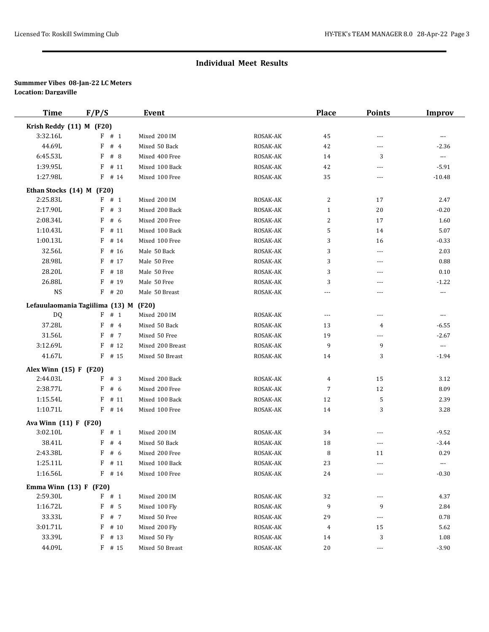| <b>Time</b>               | F/P/S                                            | <b>Event</b>     |                      | <b>Place</b>   | <b>Points</b> | <b>Improv</b>         |
|---------------------------|--------------------------------------------------|------------------|----------------------|----------------|---------------|-----------------------|
| Krish Reddy (11) M (F20)  |                                                  |                  |                      |                |               |                       |
| 3:32.16L                  | F # 1                                            | Mixed 200 IM     | ROSAK-AK             | 45             | ---           | $\cdots$              |
| 44.69L                    | #4<br>F                                          | Mixed 50 Back    | ROSAK-AK             | 42             | ---           | $-2.36$               |
| 6:45.53L                  | F<br># 8                                         | Mixed 400 Free   | ROSAK-AK             | 14             | 3             | $\scriptstyle \cdots$ |
| 1:39.95L                  | # 11<br>F                                        | Mixed 100 Back   | ROSAK-AK             | 42             | ---           | $-5.91$               |
| 1:27.98L                  | $F$ # 14                                         | Mixed 100 Free   | ROSAK-AK             | 35             | $---$         | $-10.48$              |
| Ethan Stocks (14) M (F20) |                                                  |                  |                      |                |               |                       |
| 2:25.83L                  | F # 1                                            | Mixed 200 IM     | ROSAK-AK             | 2              | 17            | 2.47                  |
| 2:17.90L                  | F<br>#3                                          | Mixed 200 Back   | ROSAK-AK             | $\mathbf{1}$   | 20            | $-0.20$               |
| 2:08.34L                  | F<br># 6                                         | Mixed 200 Free   | ROSAK-AK             | 2              | 17            | 1.60                  |
| 1:10.43L                  | F<br># 11                                        | Mixed 100 Back   | ROSAK-AK             | 5              | 14            | 5.07                  |
| 1:00.13L                  | F<br># 14                                        | Mixed 100 Free   | ROSAK-AK             | 3              | 16            | $-0.33$               |
| 32.56L                    | F<br># 16                                        | Male 50 Back     | ROSAK-AK             | 3              | $---$         | 2.03                  |
| 28.98L                    | F<br># 17                                        | Male 50 Free     | ROSAK-AK             | 3              | ---           | 0.88                  |
| 28.20L                    | F<br># 18                                        | Male 50 Free     | ROSAK-AK             | 3              | $---$         | 0.10                  |
| 26.88L                    | # 19<br>F                                        | Male 50 Free     | ROSAK-AK             | 3              | ---           | $-1.22$               |
| <b>NS</b>                 | $F$ # 20                                         | Male 50 Breast   | ROSAK-AK             | ---            | $---$         | $\cdots$              |
|                           |                                                  |                  |                      |                |               |                       |
| DQ                        | Lefauulaomania Tagiilima (13) M (F20)<br>$F$ # 1 | Mixed 200 IM     | ROSAK-AK             |                | ---           |                       |
| 37.28L                    | F<br>#4                                          | Mixed 50 Back    | ROSAK-AK             | ---<br>13      | 4             | $\cdots$<br>$-6.55$   |
| 31.56L                    | F<br># 7                                         | Mixed 50 Free    | ROSAK-AK             |                |               | $-2.67$               |
| 3:12.69L                  | $F$ # 12                                         | Mixed 200 Breast |                      | 19<br>9        | ---<br>9      | $\scriptstyle\cdots$  |
| 41.67L                    | $F$ # 15                                         | Mixed 50 Breast  | ROSAK-AK<br>ROSAK-AK | 14             | 3             | $-1.94$               |
|                           |                                                  |                  |                      |                |               |                       |
| Alex Winn (15) F (F20)    |                                                  |                  |                      |                |               |                       |
| 2:44.03L                  | #3<br>F                                          | Mixed 200 Back   | ROSAK-AK             | 4              | 15            | 3.12                  |
| 2:38.77L                  | F<br>#6                                          | Mixed 200 Free   | ROSAK-AK             | $\overline{7}$ | 12            | 8.09                  |
| 1:15.54L                  | # 11<br>F                                        | Mixed 100 Back   | ROSAK-AK             | 12             | 5             | 2.39                  |
| 1:10.71L                  | F # 14                                           | Mixed 100 Free   | ROSAK-AK             | 14             | 3             | 3.28                  |
| Ava Winn (11) F (F20)     |                                                  |                  |                      |                |               |                       |
| 3:02.10L                  | $F$ # 1                                          | Mixed 200 IM     | ROSAK-AK             | 34             | ---           | $-9.52$               |
| 38.41L                    | F<br>#4                                          | Mixed 50 Back    | ROSAK-AK             | 18             | $\cdots$      | $-3.44$               |
| 2:43.38L                  | F<br># 6                                         | Mixed 200 Free   | ROSAK-AK             | 8              | 11            | 0.29                  |
| 1:25.11L                  | $F$ # 11                                         | Mixed 100 Back   | ROSAK-AK             | 23             | $---$         |                       |
| 1:16.56L                  | $F$ # 14                                         | Mixed 100 Free   | ROSAK-AK             | 24             | $\cdots$      | $-0.30$               |
| Emma Winn $(13) F (F20)$  |                                                  |                  |                      |                |               |                       |
| 2:59.30L                  | F # 1                                            | Mixed 200 IM     | ROSAK-AK             | 32             | ---           | 4.37                  |
| 1:16.72L                  | $\mathbf{F}$<br># 5                              | Mixed 100 Fly    | ROSAK-AK             | 9              | 9             | 2.84                  |
| 33.33L                    | F # 7                                            | Mixed 50 Free    | ROSAK-AK             | 29             | $---$         | 0.78                  |
| 3:01.71L                  | $\, {\bf F}$<br># 10                             | Mixed 200 Fly    | ROSAK-AK             | 4              | 15            | 5.62                  |
| 33.39L                    | F<br># 13                                        | Mixed 50 Fly     | ROSAK-AK             | 14             | 3             | 1.08                  |
| 44.09L                    | $F$ # 15                                         | Mixed 50 Breast  | ROSAK-AK             | 20             | $\cdots$      | $-3.90$               |